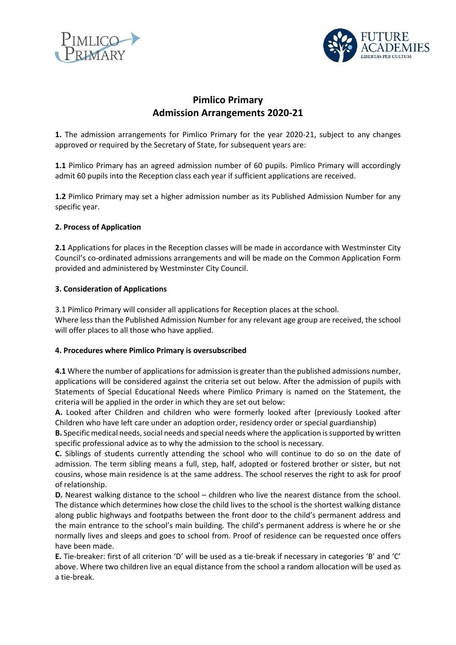



# **Pimlico Primary Admission Arrangements 2020-21**

**1.** The admission arrangements for Pimlico Primary for the year 2020-21, subject to any changes approved or required by the Secretary of State, for subsequent years are:

**1.1** Pimlico Primary has an agreed admission number of 60 pupils. Pimlico Primary will accordingly admit 60 pupils into the Reception class each year if sufficient applications are received.

**1.2** Pimlico Primary may set a higher admission number as its Published Admission Number for any specific year.

# **2. Process of Application**

**2.1** Applications for places in the Reception classes will be made in accordance with Westminster City Council's co-ordinated admissions arrangements and will be made on the Common Application Form provided and administered by Westminster City Council.

# **3. Consideration of Applications**

3.1 Pimlico Primary will consider all applications for Reception places at the school. Where less than the Published Admission Number for any relevant age group are received, the school will offer places to all those who have applied.

### **4. Procedures where Pimlico Primary is oversubscribed**

**4.1** Where the number of applications for admission is greater than the published admissions number, applications will be considered against the criteria set out below. After the admission of pupils with Statements of Special Educational Needs where Pimlico Primary is named on the Statement, the criteria will be applied in the order in which they are set out below:

**A.** Looked after Children and children who were formerly looked after (previously Looked after Children who have left care under an adoption order, residency order or special guardianship)

**B.** Specific medical needs, social needs and special needs where the application is supported by written specific professional advice as to why the admission to the school is necessary.

**C.** Siblings of students currently attending the school who will continue to do so on the date of admission. The term sibling means a full, step, half, adopted or fostered brother or sister, but not cousins, whose main residence is at the same address. The school reserves the right to ask for proof of relationship.

**D.** Nearest walking distance to the school – children who live the nearest distance from the school. The distance which determines how close the child lives to the school is the shortest walking distance along public highways and footpaths between the front door to the child's permanent address and the main entrance to the school's main building. The child's permanent address is where he or she normally lives and sleeps and goes to school from. Proof of residence can be requested once offers have been made.

**E.** Tie-breaker: first of all criterion 'D' will be used as a tie-break if necessary in categories 'B' and 'C' above. Where two children live an equal distance from the school a random allocation will be used as a tie-break.